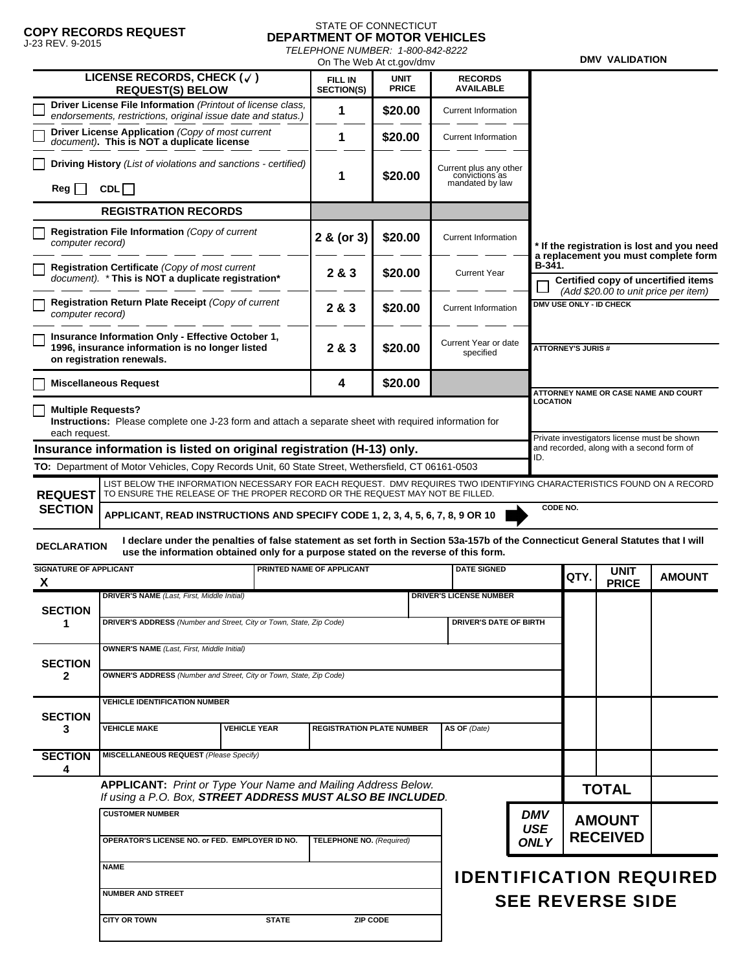# **COPY RECORDS REQUEST** J-23 REV. 9-2015

#### STATE OF CONNECTICUT **DEPARTMENT OF MOTOR VEHICLES** *TELEPHONE NUMBER: 1-800-842-8222*

|                                                                                                                                                                                                                                                |                                                                                                                                   | On The Web At ct.gov/dmv                                                                                                                                                                              |   |                                     |                                                                                                                             |                                                             |                          |                                                                                       | <b>DMV VALIDATION</b>       |               |  |  |
|------------------------------------------------------------------------------------------------------------------------------------------------------------------------------------------------------------------------------------------------|-----------------------------------------------------------------------------------------------------------------------------------|-------------------------------------------------------------------------------------------------------------------------------------------------------------------------------------------------------|---|-------------------------------------|-----------------------------------------------------------------------------------------------------------------------------|-------------------------------------------------------------|--------------------------|---------------------------------------------------------------------------------------|-----------------------------|---------------|--|--|
|                                                                                                                                                                                                                                                |                                                                                                                                   | LICENSE RECORDS, CHECK $(\sqrt{})$<br><b>REQUEST(S) BELOW</b>                                                                                                                                         |   | <b>FILL IN</b><br><b>SECTION(S)</b> | <b>UNIT</b><br><b>PRICE</b>                                                                                                 | <b>RECORDS</b><br><b>AVAILABLE</b>                          |                          |                                                                                       |                             |               |  |  |
|                                                                                                                                                                                                                                                |                                                                                                                                   | Driver License File Information (Printout of license class,<br>endorsements, restrictions, original issue date and status.)                                                                           |   |                                     | \$20.00                                                                                                                     | <b>Current Information</b>                                  |                          |                                                                                       |                             |               |  |  |
|                                                                                                                                                                                                                                                | Driver License Application (Copy of most current<br>document). This is NOT a duplicate license                                    |                                                                                                                                                                                                       | 1 | \$20.00                             | <b>Current Information</b>                                                                                                  |                                                             |                          |                                                                                       |                             |               |  |  |
|                                                                                                                                                                                                                                                |                                                                                                                                   | Driving History (List of violations and sanctions - certified)<br>CDL                                                                                                                                 |   | 1                                   | \$20.00                                                                                                                     | Current plus any other<br>convictions as<br>mandated by law |                          |                                                                                       |                             |               |  |  |
|                                                                                                                                                                                                                                                | Reg                                                                                                                               |                                                                                                                                                                                                       |   |                                     |                                                                                                                             |                                                             |                          |                                                                                       |                             |               |  |  |
|                                                                                                                                                                                                                                                |                                                                                                                                   | <b>REGISTRATION RECORDS</b>                                                                                                                                                                           |   |                                     |                                                                                                                             |                                                             |                          |                                                                                       |                             |               |  |  |
|                                                                                                                                                                                                                                                | Registration File Information (Copy of current<br>computer record)                                                                |                                                                                                                                                                                                       |   | 2 & (or 3)                          | \$20.00                                                                                                                     | <b>Current Information</b>                                  |                          | * If the registration is lost and you need<br>a replacement you must complete form    |                             |               |  |  |
|                                                                                                                                                                                                                                                | Registration Certificate (Copy of most current<br>document). * This is NOT a duplicate registration*                              |                                                                                                                                                                                                       |   | 2 & 3                               | \$20.00                                                                                                                     | <b>Current Year</b>                                         |                          | B-341.<br>Certified copy of uncertified items<br>(Add \$20.00 to unit price per item) |                             |               |  |  |
|                                                                                                                                                                                                                                                | Registration Return Plate Receipt (Copy of current<br>computer record)                                                            |                                                                                                                                                                                                       |   | 2 & 3                               | \$20.00                                                                                                                     | <b>Current Information</b>                                  |                          | DMV USE ONLY - ID CHECK                                                               |                             |               |  |  |
|                                                                                                                                                                                                                                                | Insurance Information Only - Effective October 1,<br>1996, insurance information is no longer listed<br>on registration renewals. |                                                                                                                                                                                                       |   | 2 & 3                               | \$20.00                                                                                                                     | Current Year or date<br>specified                           |                          | <b>ATTORNEY'S JURIS #</b>                                                             |                             |               |  |  |
|                                                                                                                                                                                                                                                | <b>Miscellaneous Request</b>                                                                                                      |                                                                                                                                                                                                       |   | 4                                   | \$20.00                                                                                                                     |                                                             |                          | ATTORNEY NAME OR CASE NAME AND COURT                                                  |                             |               |  |  |
| <b>Multiple Requests?</b><br>Instructions: Please complete one J-23 form and attach a separate sheet with required information for<br>each request.                                                                                            |                                                                                                                                   |                                                                                                                                                                                                       |   |                                     |                                                                                                                             |                                                             | <b>LOCATION</b>          |                                                                                       |                             |               |  |  |
| Private investigators license must be shown<br>and recorded, along with a second form of<br>Insurance information is listed on original registration (H-13) only.                                                                              |                                                                                                                                   |                                                                                                                                                                                                       |   |                                     |                                                                                                                             |                                                             |                          |                                                                                       |                             |               |  |  |
|                                                                                                                                                                                                                                                |                                                                                                                                   | TO: Department of Motor Vehicles, Copy Records Unit, 60 State Street, Wethersfield, CT 06161-0503                                                                                                     |   |                                     |                                                                                                                             |                                                             | ID.                      |                                                                                       |                             |               |  |  |
|                                                                                                                                                                                                                                                | <b>REQUEST</b>                                                                                                                    | LIST BELOW THE INFORMATION NECESSARY FOR EACH REQUEST. DMV REQUIRES TWO IDENTIFYING CHARACTERISTICS FOUND ON A RECORD<br>TO ENSURE THE RELEASE OF THE PROPER RECORD OR THE REQUEST MAY NOT BE FILLED. |   |                                     |                                                                                                                             |                                                             |                          |                                                                                       |                             |               |  |  |
| <b>SECTION</b>                                                                                                                                                                                                                                 |                                                                                                                                   | CODE NO.<br>APPLICANT, READ INSTRUCTIONS AND SPECIFY CODE 1, 2, 3, 4, 5, 6, 7, 8, 9 OR 10                                                                                                             |   |                                     |                                                                                                                             |                                                             |                          |                                                                                       |                             |               |  |  |
| I declare under the penalties of false statement as set forth in Section 53a-157b of the Connecticut General Statutes that I will<br><b>DECLARATION</b><br>use the information obtained only for a purpose stated on the reverse of this form. |                                                                                                                                   |                                                                                                                                                                                                       |   |                                     |                                                                                                                             |                                                             |                          |                                                                                       |                             |               |  |  |
| <b>SIGNATURE OF APPLICANT</b><br>X                                                                                                                                                                                                             |                                                                                                                                   |                                                                                                                                                                                                       |   | PRINTED NAME OF APPLICANT           |                                                                                                                             | <b>DATE SIGNED</b>                                          |                          | QTY.                                                                                  | <b>UNIT</b><br><b>PRICE</b> | <b>AMOUNT</b> |  |  |
|                                                                                                                                                                                                                                                | <b>SECTION</b>                                                                                                                    | <b>DRIVER'S NAME</b> (Last, First, Middle Initial)                                                                                                                                                    |   |                                     |                                                                                                                             | <b>DRIVER'S LICENSE NUMBER</b>                              |                          |                                                                                       |                             |               |  |  |
|                                                                                                                                                                                                                                                | 1                                                                                                                                 | DRIVER'S ADDRESS (Number and Street, City or Town, State, Zip Code)                                                                                                                                   |   |                                     | <b>DRIVER'S DATE OF BIRTH</b>                                                                                               |                                                             |                          |                                                                                       |                             |               |  |  |
| <b>SECTION</b><br>$\mathbf{2}$                                                                                                                                                                                                                 |                                                                                                                                   | <b>OWNER'S NAME</b> (Last, First, Middle Initial)                                                                                                                                                     |   |                                     |                                                                                                                             |                                                             |                          |                                                                                       |                             |               |  |  |
|                                                                                                                                                                                                                                                |                                                                                                                                   | <b>OWNER'S ADDRESS</b> (Number and Street, City or Town, State, Zip Code)                                                                                                                             |   |                                     |                                                                                                                             |                                                             |                          |                                                                                       |                             |               |  |  |
|                                                                                                                                                                                                                                                | <b>SECTION</b>                                                                                                                    | <b>VEHICLE IDENTIFICATION NUMBER</b>                                                                                                                                                                  |   |                                     |                                                                                                                             |                                                             |                          |                                                                                       |                             |               |  |  |
| 3                                                                                                                                                                                                                                              |                                                                                                                                   | <b>VEHICLE MAKE</b><br><b>VEHICLE YEAR</b>                                                                                                                                                            |   | <b>REGISTRATION PLATE NUMBER</b>    |                                                                                                                             | AS OF (Date)                                                |                          |                                                                                       |                             |               |  |  |
|                                                                                                                                                                                                                                                | <b>SECTION</b><br>4                                                                                                               | <b>MISCELLANEOUS REQUEST (Please Specify)</b>                                                                                                                                                         |   |                                     |                                                                                                                             |                                                             |                          |                                                                                       |                             |               |  |  |
|                                                                                                                                                                                                                                                |                                                                                                                                   |                                                                                                                                                                                                       |   |                                     | APPLICANT: Print or Type Your Name and Mailing Address Below.<br>If using a P.O. Box, STREET ADDRESS MUST ALSO BE INCLUDED. |                                                             |                          | <b>TOTAL</b>                                                                          |                             |               |  |  |
|                                                                                                                                                                                                                                                | <b>CUSTOMER NUMBER</b><br>OPERATOR'S LICENSE NO. or FED. EMPLOYER ID NO.                                                          |                                                                                                                                                                                                       |   | <b>TELEPHONE NO.</b> (Required)     |                                                                                                                             |                                                             | <b>DMV</b><br><b>USE</b> | <b>AMOUNT</b><br><b>RECEIVED</b>                                                      |                             |               |  |  |
|                                                                                                                                                                                                                                                | <b>NAME</b>                                                                                                                       |                                                                                                                                                                                                       |   |                                     |                                                                                                                             |                                                             | <b>ONLY</b>              |                                                                                       |                             |               |  |  |
|                                                                                                                                                                                                                                                |                                                                                                                                   | <b>NUMBER AND STREET</b>                                                                                                                                                                              |   |                                     |                                                                                                                             | <b>IDENTIFICATION REQUIRED</b>                              |                          |                                                                                       |                             |               |  |  |
|                                                                                                                                                                                                                                                |                                                                                                                                   | <b>CITY OR TOWN</b><br><b>STATE</b><br><b>ZIP CODE</b>                                                                                                                                                |   |                                     |                                                                                                                             |                                                             | <b>SEE REVERSE SIDE</b>  |                                                                                       |                             |               |  |  |
|                                                                                                                                                                                                                                                |                                                                                                                                   |                                                                                                                                                                                                       |   |                                     |                                                                                                                             |                                                             |                          |                                                                                       |                             |               |  |  |